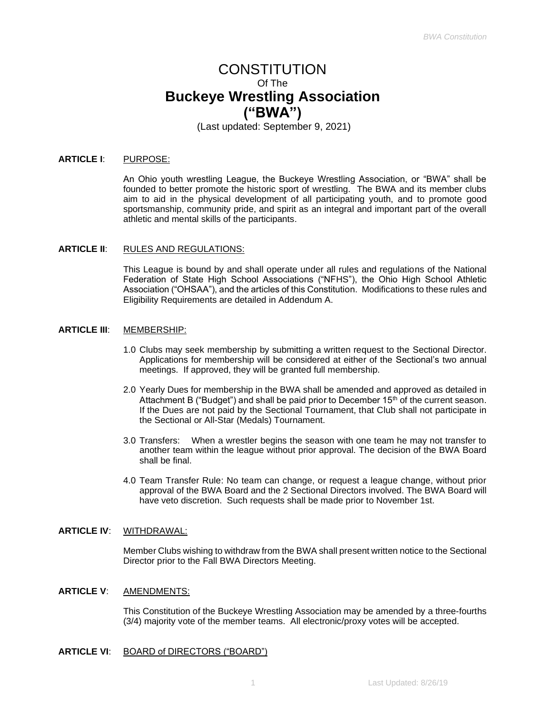# CONSTITUTION Of The **Buckeye Wrestling Association ("BWA")**

(Last updated: September 9, 2021)

#### **ARTICLE I**: PURPOSE:

An Ohio youth wrestling League, the Buckeye Wrestling Association, or "BWA" shall be founded to better promote the historic sport of wrestling. The BWA and its member clubs aim to aid in the physical development of all participating youth, and to promote good sportsmanship, community pride, and spirit as an integral and important part of the overall athletic and mental skills of the participants.

#### **ARTICLE II**: RULES AND REGULATIONS:

This League is bound by and shall operate under all rules and regulations of the National Federation of State High School Associations ("NFHS"), the Ohio High School Athletic Association ("OHSAA"), and the articles of this Constitution. Modifications to these rules and Eligibility Requirements are detailed in Addendum A.

#### **ARTICLE III:** MEMBERSHIP:

- 1.0 Clubs may seek membership by submitting a written request to the Sectional Director. Applications for membership will be considered at either of the Sectional's two annual meetings. If approved, they will be granted full membership.
- 2.0 Yearly Dues for membership in the BWA shall be amended and approved as detailed in Attachment B ("Budget") and shall be paid prior to December 15<sup>th</sup> of the current season. If the Dues are not paid by the Sectional Tournament, that Club shall not participate in the Sectional or All-Star (Medals) Tournament.
- 3.0 Transfers: When a wrestler begins the season with one team he may not transfer to another team within the league without prior approval. The decision of the BWA Board shall be final.
- 4.0 Team Transfer Rule: No team can change, or request a league change, without prior approval of the BWA Board and the 2 Sectional Directors involved. The BWA Board will have veto discretion. Such requests shall be made prior to November 1st.

## **ARTICLE IV**: WITHDRAWAL:

Member Clubs wishing to withdraw from the BWA shall present written notice to the Sectional Director prior to the Fall BWA Directors Meeting.

## **ARTICLE V**: AMENDMENTS:

This Constitution of the Buckeye Wrestling Association may be amended by a three-fourths (3/4) majority vote of the member teams. All electronic/proxy votes will be accepted.

## **ARTICLE VI**: BOARD of DIRECTORS ("BOARD")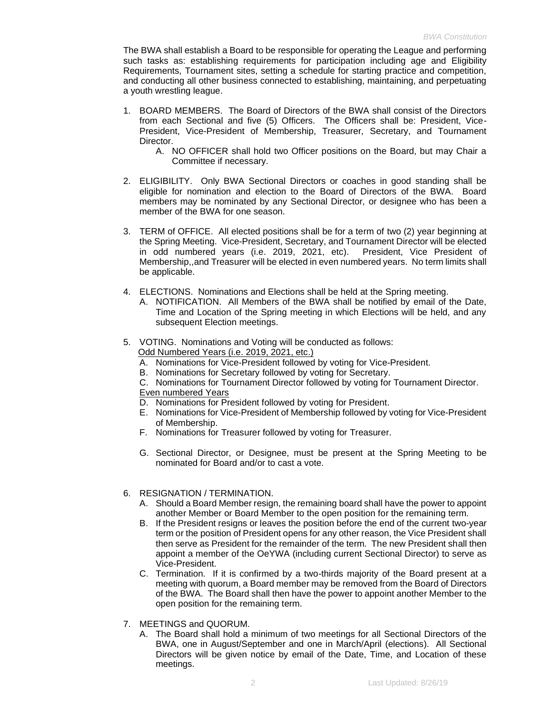The BWA shall establish a Board to be responsible for operating the League and performing such tasks as: establishing requirements for participation including age and Eligibility Requirements, Tournament sites, setting a schedule for starting practice and competition, and conducting all other business connected to establishing, maintaining, and perpetuating a youth wrestling league.

- 1. BOARD MEMBERS. The Board of Directors of the BWA shall consist of the Directors from each Sectional and five (5) Officers. The Officers shall be: President, Vice-President, Vice-President of Membership, Treasurer, Secretary, and Tournament **Director** 
	- A. NO OFFICER shall hold two Officer positions on the Board, but may Chair a Committee if necessary.
- 2. ELIGIBILITY. Only BWA Sectional Directors or coaches in good standing shall be eligible for nomination and election to the Board of Directors of the BWA. Board members may be nominated by any Sectional Director, or designee who has been a member of the BWA for one season.
- 3. TERM of OFFICE. All elected positions shall be for a term of two (2) year beginning at the Spring Meeting. Vice-President, Secretary, and Tournament Director will be elected in odd numbered years (i.e. 2019, 2021, etc). President, Vice President of Membership,,and Treasurer will be elected in even numbered years. No term limits shall be applicable.
- 4. ELECTIONS. Nominations and Elections shall be held at the Spring meeting.
	- A. NOTIFICATION. All Members of the BWA shall be notified by email of the Date, Time and Location of the Spring meeting in which Elections will be held, and any subsequent Election meetings.
- 5. VOTING. Nominations and Voting will be conducted as follows: Odd Numbered Years (i.e. 2019, 2021, etc.)
	- A. Nominations for Vice-President followed by voting for Vice-President.
	- B. Nominations for Secretary followed by voting for Secretary.
	- C. Nominations for Tournament Director followed by voting for Tournament Director.

Even numbered Years

- D. Nominations for President followed by voting for President.
- E. Nominations for Vice-President of Membership followed by voting for Vice-President of Membership.
- F. Nominations for Treasurer followed by voting for Treasurer.
- G. Sectional Director, or Designee, must be present at the Spring Meeting to be nominated for Board and/or to cast a vote.

## 6. RESIGNATION / TERMINATION.

- A. Should a Board Member resign, the remaining board shall have the power to appoint another Member or Board Member to the open position for the remaining term.
- B. If the President resigns or leaves the position before the end of the current two-year term or the position of President opens for any other reason, the Vice President shall then serve as President for the remainder of the term. The new President shall then appoint a member of the OeYWA (including current Sectional Director) to serve as Vice-President.
- C. Termination. If it is confirmed by a two-thirds majority of the Board present at a meeting with quorum, a Board member may be removed from the Board of Directors of the BWA. The Board shall then have the power to appoint another Member to the open position for the remaining term.
- 7. MEETINGS and QUORUM.
	- A. The Board shall hold a minimum of two meetings for all Sectional Directors of the BWA, one in August/September and one in March/April (elections). All Sectional Directors will be given notice by email of the Date, Time, and Location of these meetings.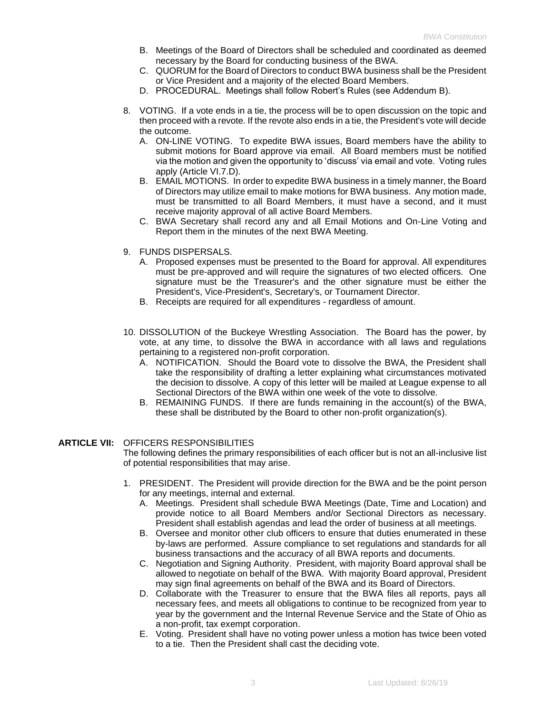- B. Meetings of the Board of Directors shall be scheduled and coordinated as deemed necessary by the Board for conducting business of the BWA.
- C. QUORUM for the Board of Directors to conduct BWA business shall be the President or Vice President and a majority of the elected Board Members.
- D. PROCEDURAL. Meetings shall follow Robert's Rules (see Addendum B).
- 8. VOTING. If a vote ends in a tie, the process will be to open discussion on the topic and then proceed with a revote. If the revote also ends in a tie, the President's vote will decide the outcome.
	- A. ON-LINE VOTING. To expedite BWA issues, Board members have the ability to submit motions for Board approve via email. All Board members must be notified via the motion and given the opportunity to 'discuss' via email and vote. Voting rules apply (Article VI.7.D).
	- B. EMAIL MOTIONS. In order to expedite BWA business in a timely manner, the Board of Directors may utilize email to make motions for BWA business. Any motion made, must be transmitted to all Board Members, it must have a second, and it must receive majority approval of all active Board Members.
	- C. BWA Secretary shall record any and all Email Motions and On-Line Voting and Report them in the minutes of the next BWA Meeting.
- 9. FUNDS DISPERSALS.
	- A. Proposed expenses must be presented to the Board for approval. All expenditures must be pre-approved and will require the signatures of two elected officers. One signature must be the Treasurer's and the other signature must be either the President's, Vice-President's, Secretary's, or Tournament Director.
	- B. Receipts are required for all expenditures regardless of amount.
- 10. DISSOLUTION of the Buckeye Wrestling Association. The Board has the power, by vote, at any time, to dissolve the BWA in accordance with all laws and regulations pertaining to a registered non-profit corporation.
	- A. NOTIFICATION. Should the Board vote to dissolve the BWA, the President shall take the responsibility of drafting a letter explaining what circumstances motivated the decision to dissolve. A copy of this letter will be mailed at League expense to all Sectional Directors of the BWA within one week of the vote to dissolve.
	- B. REMAINING FUNDS. If there are funds remaining in the account(s) of the BWA, these shall be distributed by the Board to other non-profit organization(s).

## **ARTICLE VII:** OFFICERS RESPONSIBILITIES

The following defines the primary responsibilities of each officer but is not an all-inclusive list of potential responsibilities that may arise.

- 1. PRESIDENT. The President will provide direction for the BWA and be the point person for any meetings, internal and external.
	- A. Meetings. President shall schedule BWA Meetings (Date, Time and Location) and provide notice to all Board Members and/or Sectional Directors as necessary. President shall establish agendas and lead the order of business at all meetings.
	- B. Oversee and monitor other club officers to ensure that duties enumerated in these by-laws are performed. Assure compliance to set regulations and standards for all business transactions and the accuracy of all BWA reports and documents.
	- C. Negotiation and Signing Authority. President, with majority Board approval shall be allowed to negotiate on behalf of the BWA. With majority Board approval, President may sign final agreements on behalf of the BWA and its Board of Directors.
	- D. Collaborate with the Treasurer to ensure that the BWA files all reports, pays all necessary fees, and meets all obligations to continue to be recognized from year to year by the government and the Internal Revenue Service and the State of Ohio as a non-profit, tax exempt corporation.
	- E. Voting. President shall have no voting power unless a motion has twice been voted to a tie. Then the President shall cast the deciding vote.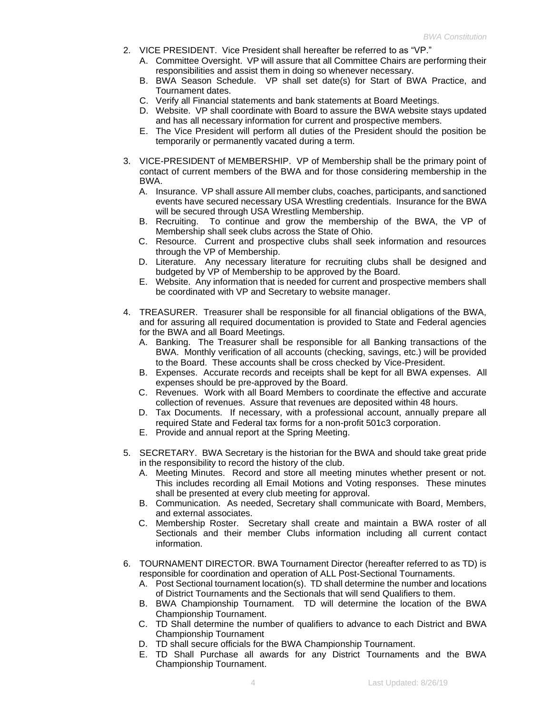- 2. VICE PRESIDENT. Vice President shall hereafter be referred to as "VP."
	- A. Committee Oversight. VP will assure that all Committee Chairs are performing their responsibilities and assist them in doing so whenever necessary.
	- B. BWA Season Schedule. VP shall set date(s) for Start of BWA Practice, and Tournament dates.
	- C. Verify all Financial statements and bank statements at Board Meetings.
	- D. Website. VP shall coordinate with Board to assure the BWA website stays updated and has all necessary information for current and prospective members.
	- E. The Vice President will perform all duties of the President should the position be temporarily or permanently vacated during a term.
- 3. VICE-PRESIDENT of MEMBERSHIP. VP of Membership shall be the primary point of contact of current members of the BWA and for those considering membership in the BWA.
	- A. Insurance. VP shall assure All member clubs, coaches, participants, and sanctioned events have secured necessary USA Wrestling credentials. Insurance for the BWA will be secured through USA Wrestling Membership.
	- B. Recruiting. To continue and grow the membership of the BWA, the VP of Membership shall seek clubs across the State of Ohio.
	- C. Resource. Current and prospective clubs shall seek information and resources through the VP of Membership.
	- D. Literature. Any necessary literature for recruiting clubs shall be designed and budgeted by VP of Membership to be approved by the Board.
	- E. Website. Any information that is needed for current and prospective members shall be coordinated with VP and Secretary to website manager.
- 4. TREASURER. Treasurer shall be responsible for all financial obligations of the BWA, and for assuring all required documentation is provided to State and Federal agencies for the BWA and all Board Meetings.
	- A. Banking. The Treasurer shall be responsible for all Banking transactions of the BWA. Monthly verification of all accounts (checking, savings, etc.) will be provided to the Board. These accounts shall be cross checked by Vice-President.
	- B. Expenses. Accurate records and receipts shall be kept for all BWA expenses. All expenses should be pre-approved by the Board.
	- C. Revenues. Work with all Board Members to coordinate the effective and accurate collection of revenues. Assure that revenues are deposited within 48 hours.
	- D. Tax Documents. If necessary, with a professional account, annually prepare all required State and Federal tax forms for a non-profit 501c3 corporation.
	- E. Provide and annual report at the Spring Meeting.
- 5. SECRETARY. BWA Secretary is the historian for the BWA and should take great pride in the responsibility to record the history of the club.
	- A. Meeting Minutes. Record and store all meeting minutes whether present or not. This includes recording all Email Motions and Voting responses. These minutes shall be presented at every club meeting for approval.
	- B. Communication. As needed, Secretary shall communicate with Board, Members, and external associates.
	- C. Membership Roster. Secretary shall create and maintain a BWA roster of all Sectionals and their member Clubs information including all current contact information.
- 6. TOURNAMENT DIRECTOR. BWA Tournament Director (hereafter referred to as TD) is responsible for coordination and operation of ALL Post-Sectional Tournaments.
	- A. Post Sectional tournament location(s). TD shall determine the number and locations of District Tournaments and the Sectionals that will send Qualifiers to them.
	- B. BWA Championship Tournament. TD will determine the location of the BWA Championship Tournament.
	- C. TD Shall determine the number of qualifiers to advance to each District and BWA Championship Tournament
	- D. TD shall secure officials for the BWA Championship Tournament.
	- E. TD Shall Purchase all awards for any District Tournaments and the BWA Championship Tournament.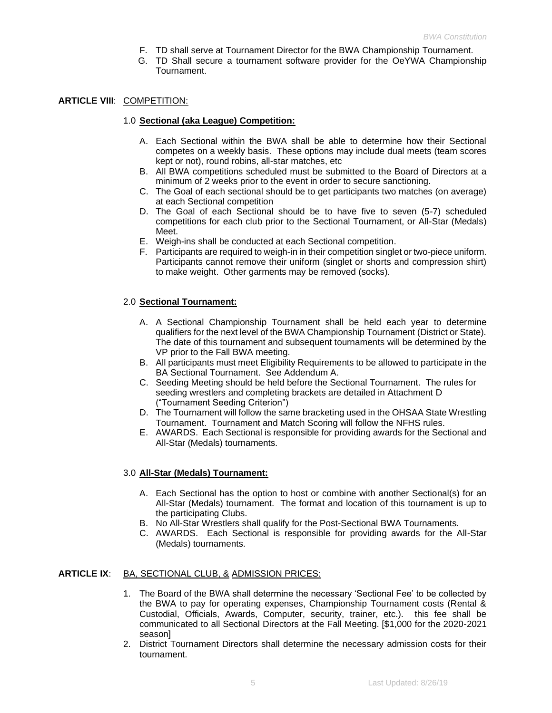- F. TD shall serve at Tournament Director for the BWA Championship Tournament.
- G. TD Shall secure a tournament software provider for the OeYWA Championship Tournament.

### **ARTICLE VIII**: COMPETITION:

#### 1.0 **Sectional (aka League) Competition:**

- A. Each Sectional within the BWA shall be able to determine how their Sectional competes on a weekly basis. These options may include dual meets (team scores kept or not), round robins, all-star matches, etc
- B. All BWA competitions scheduled must be submitted to the Board of Directors at a minimum of 2 weeks prior to the event in order to secure sanctioning.
- C. The Goal of each sectional should be to get participants two matches (on average) at each Sectional competition
- D. The Goal of each Sectional should be to have five to seven (5-7) scheduled competitions for each club prior to the Sectional Tournament, or All-Star (Medals) Meet.
- E. Weigh-ins shall be conducted at each Sectional competition.
- F. Participants are required to weigh-in in their competition singlet or two-piece uniform. Participants cannot remove their uniform (singlet or shorts and compression shirt) to make weight. Other garments may be removed (socks).

## 2.0 **Sectional Tournament:**

- A. A Sectional Championship Tournament shall be held each year to determine qualifiers for the next level of the BWA Championship Tournament (District or State). The date of this tournament and subsequent tournaments will be determined by the VP prior to the Fall BWA meeting.
- B. All participants must meet Eligibility Requirements to be allowed to participate in the BA Sectional Tournament. See Addendum A.
- C. Seeding Meeting should be held before the Sectional Tournament. The rules for seeding wrestlers and completing brackets are detailed in Attachment D ("Tournament Seeding Criterion")
- D. The Tournament will follow the same bracketing used in the OHSAA State Wrestling Tournament. Tournament and Match Scoring will follow the NFHS rules.
- E. AWARDS. Each Sectional is responsible for providing awards for the Sectional and All-Star (Medals) tournaments.

## 3.0 **All-Star (Medals) Tournament:**

- A. Each Sectional has the option to host or combine with another Sectional(s) for an All-Star (Medals) tournament. The format and location of this tournament is up to the participating Clubs.
- B. No All-Star Wrestlers shall qualify for the Post-Sectional BWA Tournaments.
- C. AWARDS. Each Sectional is responsible for providing awards for the All-Star (Medals) tournaments.

#### **ARTICLE IX**: BA, SECTIONAL CLUB, & ADMISSION PRICES:

- 1. The Board of the BWA shall determine the necessary 'Sectional Fee' to be collected by the BWA to pay for operating expenses, Championship Tournament costs (Rental & Custodial, Officials, Awards, Computer, security, trainer, etc.). this fee shall be communicated to all Sectional Directors at the Fall Meeting. [\$1,000 for the 2020-2021 season]
- 2. District Tournament Directors shall determine the necessary admission costs for their tournament.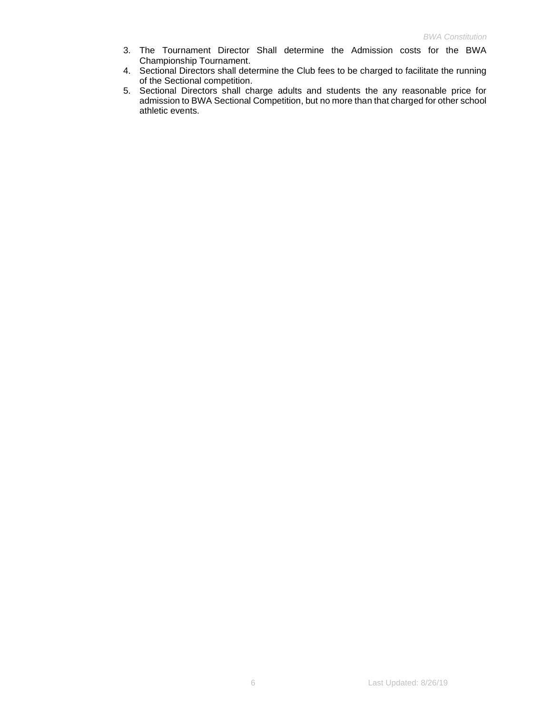- 3. The Tournament Director Shall determine the Admission costs for the BWA Championship Tournament.
- 4. Sectional Directors shall determine the Club fees to be charged to facilitate the running of the Sectional competition.
- 5. Sectional Directors shall charge adults and students the any reasonable price for admission to BWA Sectional Competition, but no more than that charged for other school athletic events.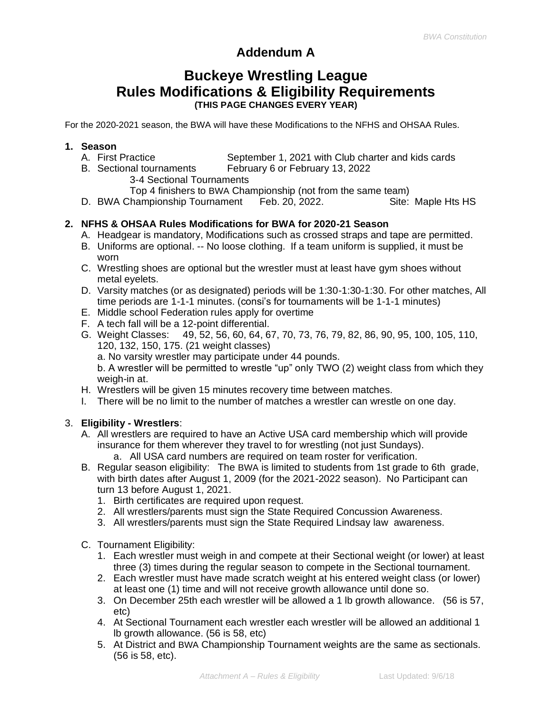# **Addendum A**

# **Buckeye Wrestling League Rules Modifications & Eligibility Requirements (THIS PAGE CHANGES EVERY YEAR)**

For the 2020-2021 season, the BWA will have these Modifications to the NFHS and OHSAA Rules.

# **1. Season**

- A. First Practice **September 1, 2021 with Club charter and kids cards**
- B. Sectional tournaments February 6 or February 13, 2022
	- 3-4 Sectional Tournaments

Top 4 finishers to BWA Championship (not from the same team)

D. BWA Championship Tournament Feb. 20, 2022. Site: Maple Hts HS

# **2. NFHS & OHSAA Rules Modifications for BWA for 2020-21 Season**

- A. Headgear is mandatory, Modifications such as crossed straps and tape are permitted.
- B. Uniforms are optional. -- No loose clothing. If a team uniform is supplied, it must be worn
- C. Wrestling shoes are optional but the wrestler must at least have gym shoes without metal eyelets.
- D. Varsity matches (or as designated) periods will be 1:30-1:30-1:30. For other matches, All time periods are 1-1-1 minutes. (consi's for tournaments will be 1-1-1 minutes)
- E. Middle school Federation rules apply for overtime
- F. A tech fall will be a 12-point differential.
- G. Weight Classes: 49, 52, 56, 60, 64, 67, 70, 73, 76, 79, 82, 86, 90, 95, 100, 105, 110, 120, 132, 150, 175. (21 weight classes)
	- a. No varsity wrestler may participate under 44 pounds.

b. A wrestler will be permitted to wrestle "up" only TWO (2) weight class from which they weigh-in at.

- H. Wrestlers will be given 15 minutes recovery time between matches.
- I. There will be no limit to the number of matches a wrestler can wrestle on one day.

# 3. **Eligibility - Wrestlers**:

- A. All wrestlers are required to have an Active USA card membership which will provide insurance for them wherever they travel to for wrestling (not just Sundays).
	- a. All USA card numbers are required on team roster for verification.
- B. Regular season eligibility: The BWA is limited to students from 1st grade to 6th grade, with birth dates after August 1, 2009 (for the 2021-2022 season). No Participant can turn 13 before August 1, 2021.
	- 1. Birth certificates are required upon request.
	- 2. All wrestlers/parents must sign the State Required Concussion Awareness.
	- 3. All wrestlers/parents must sign the State Required Lindsay law awareness.
- C. Tournament Eligibility:
	- 1. Each wrestler must weigh in and compete at their Sectional weight (or lower) at least three (3) times during the regular season to compete in the Sectional tournament.
	- 2. Each wrestler must have made scratch weight at his entered weight class (or lower) at least one (1) time and will not receive growth allowance until done so.
	- 3. On December 25th each wrestler will be allowed a 1 lb growth allowance. (56 is 57, etc)
	- 4. At Sectional Tournament each wrestler each wrestler will be allowed an additional 1 lb growth allowance. (56 is 58, etc)
	- 5. At District and BWA Championship Tournament weights are the same as sectionals. (56 is 58, etc).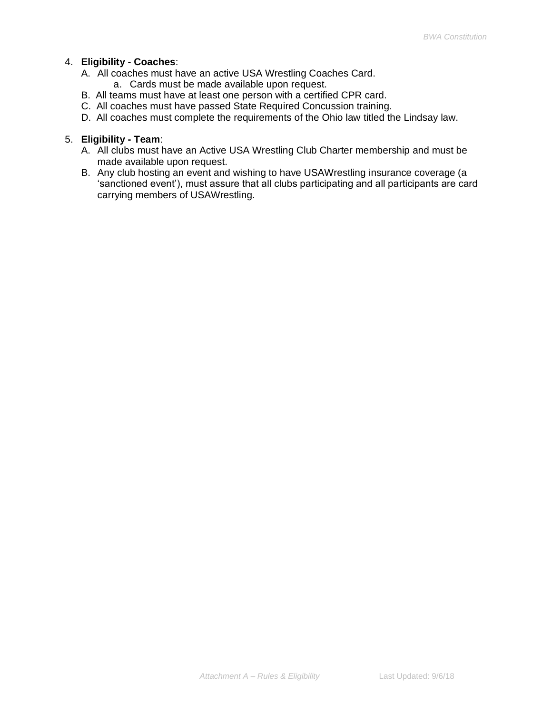## 4. **Eligibility - Coaches**:

- A. All coaches must have an active USA Wrestling Coaches Card.
	- a. Cards must be made available upon request.
- B. All teams must have at least one person with a certified CPR card.
- C. All coaches must have passed State Required Concussion training.
- D. All coaches must complete the requirements of the Ohio law titled the Lindsay law.

## 5. **Eligibility - Team**:

- A. All clubs must have an Active USA Wrestling Club Charter membership and must be made available upon request.
- B. Any club hosting an event and wishing to have USAWrestling insurance coverage (a 'sanctioned event'), must assure that all clubs participating and all participants are card carrying members of USAWrestling.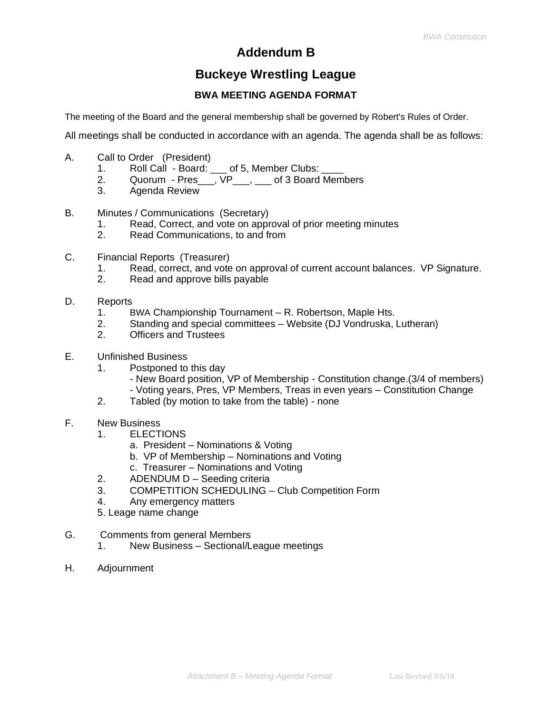# **Addendum B**

# **Buckeye Wrestling League**

# **BWA MEETING AGENDA FORMAT**

The meeting of the Board and the general membership shall be governed by Robert's Rules of Order.

All meetings shall be conducted in accordance with an agenda. The agenda shall be as follows:

- A. Call to Order (President)
	- 1. Roll Call Board: of 5, Member Clubs:
	- 2. Quorum Pres\_\_\_,  $VP$ \_\_\_,  $\qquad$  of 3 Board Members
	- 3. Agenda Review
- B. Minutes / Communications (Secretary)
	- 1. Read, Correct, and vote on approval of prior meeting minutes
	- 2. Read Communications, to and from
- C. Financial Reports (Treasurer)
	- 1. Read, correct, and vote on approval of current account balances. VP Signature.
	- 2. Read and approve bills payable
- D. Reports
	- 1. BWA Championship Tournament R. Robertson, Maple Hts.
	- 2. Standing and special committees Website (DJ Vondruska, Lutheran)
	- 2. Officers and Trustees
- E. Unfinished Business
	- 1. Postponed to this day
		- New Board position, VP of Membership Constitution change.(3/4 of members) - Voting years, Pres, VP Members, Treas in even years – Constitution Change
	- 2. Tabled (by motion to take from the table) none
- F. New Business
	- 1. ELECTIONS
		- a. President Nominations & Voting
		- b. VP of Membership Nominations and Voting
		- c. Treasurer Nominations and Voting
	- 2. ADENDUM D Seeding criteria
	- 3. COMPETITION SCHEDULING Club Competition Form
	- 4. Any emergency matters
	- 5. Leage name change
- G. Comments from general Members
	- 1. New Business Sectional/League meetings
- H. Adjournment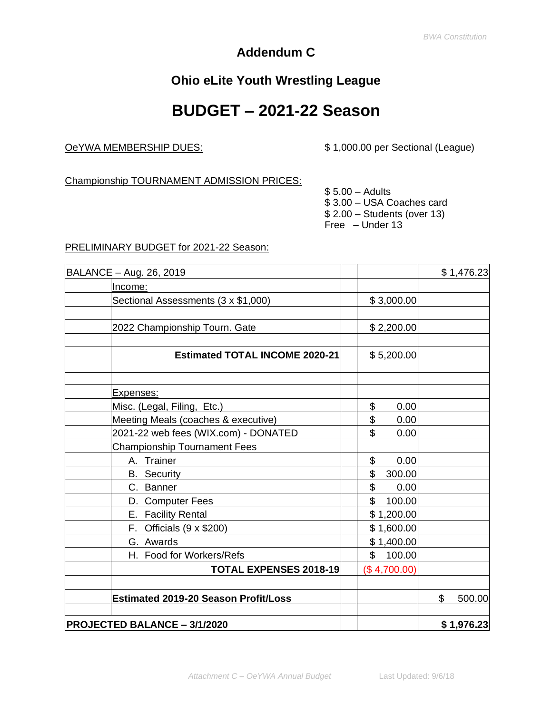# **Addendum C**

# **Ohio eLite Youth Wrestling League**

# **BUDGET – 2021-22 Season**

OeYWA MEMBERSHIP DUES: \$ 1,000.00 per Sectional (League)

Championship TOURNAMENT ADMISSION PRICES:

 $$5.00 -$  Adults \$ 3.00 – USA Coaches card \$ 2.00 – Students (over 13) Free – Under 13

## PRELIMINARY BUDGET for 2021-22 Season:

| BALANCE - Aug. 26, 2019                     |              | \$1,476.23   |
|---------------------------------------------|--------------|--------------|
| Income:                                     |              |              |
| Sectional Assessments (3 x \$1,000)         | \$3,000.00   |              |
|                                             |              |              |
| 2022 Championship Tourn. Gate               | \$2,200.00   |              |
|                                             |              |              |
| <b>Estimated TOTAL INCOME 2020-21</b>       | \$5,200.00   |              |
|                                             |              |              |
| Expenses:                                   |              |              |
| Misc. (Legal, Filing, Etc.)                 | \$<br>0.00   |              |
| Meeting Meals (coaches & executive)         | \$<br>0.00   |              |
| 2021-22 web fees (WIX.com) - DONATED        | \$<br>0.00   |              |
| <b>Championship Tournament Fees</b>         |              |              |
| A. Trainer                                  | \$<br>0.00   |              |
| <b>B.</b> Security                          | \$<br>300.00 |              |
| C. Banner                                   | \$<br>0.00   |              |
| D. Computer Fees                            | \$<br>100.00 |              |
| E. Facility Rental                          | \$1,200.00   |              |
| F. Officials $(9 \times $200)$              | \$1,600.00   |              |
| G. Awards                                   | \$1,400.00   |              |
| H. Food for Workers/Refs                    | \$<br>100.00 |              |
| <b>TOTAL EXPENSES 2018-19</b>               | (\$4,700.00) |              |
| <b>Estimated 2019-20 Season Profit/Loss</b> |              | \$<br>500.00 |
| <b>PROJECTED BALANCE - 3/1/2020</b>         |              | \$1,976.23   |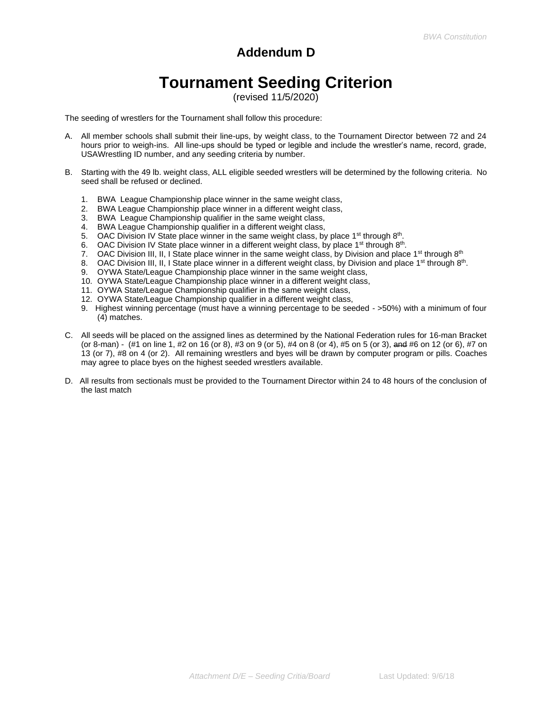# **Addendum D**

# **Tournament Seeding Criterion**

(revised 11/5/2020)

The seeding of wrestlers for the Tournament shall follow this procedure:

- A. All member schools shall submit their line-ups, by weight class, to the Tournament Director between 72 and 24 hours prior to weigh-ins. All line-ups should be typed or legible and include the wrestler's name, record, grade, USAWrestling ID number, and any seeding criteria by number.
- B. Starting with the 49 lb. weight class, ALL eligible seeded wrestlers will be determined by the following criteria. No seed shall be refused or declined.
	- 1. BWA League Championship place winner in the same weight class,
	- 2. BWA League Championship place winner in a different weight class,
	- 3. BWA League Championship qualifier in the same weight class,
	- 4. BWA League Championship qualifier in a different weight class,
	- 5. OAC Division IV State place winner in the same weight class, by place 1<sup>st</sup> through  $8<sup>th</sup>$ .
	- 6. OAC Division IV State place winner in a different weight class, by place 1<sup>st</sup> through  $8<sup>th</sup>$ .
	- 7. OAC Division III, II, I State place winner in the same weight class, by Division and place 1<sup>st</sup> through  $8<sup>th</sup>$
	- 8. OAC Division III, II, I State place winner in a different weight class, by Division and place 1<sup>st</sup> through 8<sup>th</sup>.
	- 9. OYWA State/League Championship place winner in the same weight class,
	- 10. OYWA State/League Championship place winner in a different weight class,
	- 11. OYWA State/League Championship qualifier in the same weight class,
	- 12. OYWA State/League Championship qualifier in a different weight class,
	- 9. Highest winning percentage (must have a winning percentage to be seeded >50%) with a minimum of four (4) matches.
- C. All seeds will be placed on the assigned lines as determined by the National Federation rules for 16-man Bracket (or 8-man) - (#1 on line 1, #2 on 16 (or 8), #3 on 9 (or 5), #4 on 8 (or 4), #5 on 5 (or 3), and #6 on 12 (or 6), #7 on 13 (or 7), #8 on 4 (or 2). All remaining wrestlers and byes will be drawn by computer program or pills. Coaches may agree to place byes on the highest seeded wrestlers available.
- D. All results from sectionals must be provided to the Tournament Director within 24 to 48 hours of the conclusion of the last match